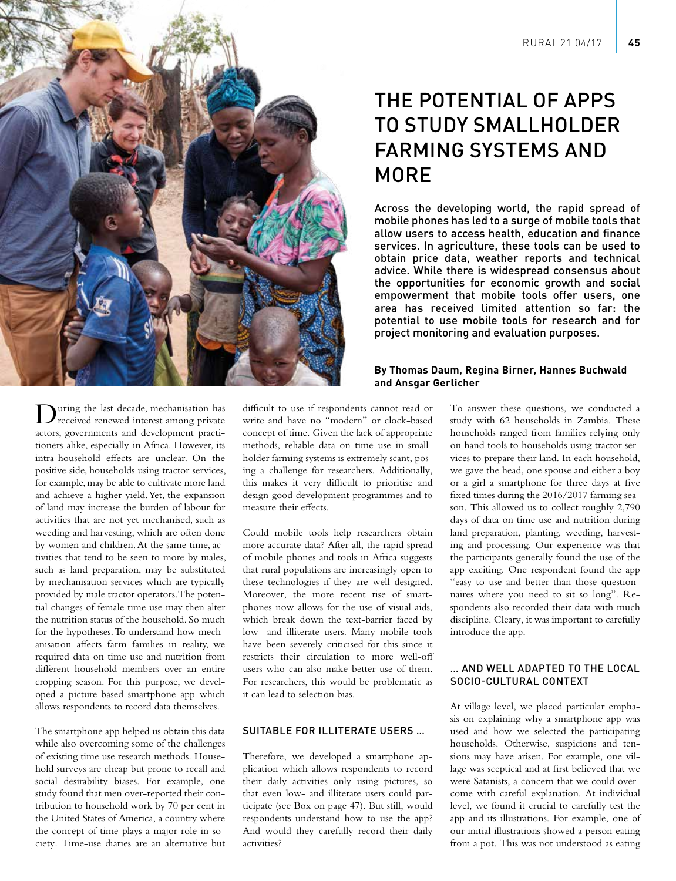

# THE POTENTIAL OF APPS TO STUDY SMALLHOLDER FARMING SYSTEMS AND MORE

Across the developing world, the rapid spread of mobile phones has led to a surge of mobile tools that allow users to access health, education and finance services. In agriculture, these tools can be used to obtain price data, weather reports and technical advice. While there is widespread consensus about the opportunities for economic growth and social empowerment that mobile tools offer users, one area has received limited attention so far: the potential to use mobile tools for research and for project monitoring and evaluation purposes.

# **By Thomas Daum, Regina Birner, Hannes Buchwald and Ansgar Gerlicher**

During the last decade, mechanisation has received renewed interest among private actors, governments and development practitioners alike, especially in Africa. However, its intra-household effects are unclear. On the positive side, households using tractor services, for example, may be able to cultivate more land and achieve a higher yield. Yet, the expansion of land may increase the burden of labour for activities that are not yet mechanised, such as weeding and harvesting, which are often done by women and children. At the same time, activities that tend to be seen to more by males, such as land preparation, may be substituted by mechanisation services which are typically provided by male tractor operators. The potential changes of female time use may then alter the nutrition status of the household. So much for the hypotheses. To understand how mechanisation affects farm families in reality, we required data on time use and nutrition from different household members over an entire cropping season. For this purpose, we developed a picture-based smartphone app which allows respondents to record data themselves.

The smartphone app helped us obtain this data while also overcoming some of the challenges of existing time use research methods. Household surveys are cheap but prone to recall and social desirability biases. For example, one study found that men over-reported their contribution to household work by 70 per cent in the United States of America, a country where the concept of time plays a major role in society. Time-use diaries are an alternative but difficult to use if respondents cannot read or write and have no "modern" or clock-based concept of time. Given the lack of appropriate methods, reliable data on time use in smallholder farming systems is extremely scant, posing a challenge for researchers. Additionally, this makes it very difficult to prioritise and design good development programmes and to measure their effects.

Could mobile tools help researchers obtain more accurate data? After all, the rapid spread of mobile phones and tools in Africa suggests that rural populations are increasingly open to these technologies if they are well designed. Moreover, the more recent rise of smartphones now allows for the use of visual aids, which break down the text-barrier faced by low- and illiterate users. Many mobile tools have been severely criticised for this since it restricts their circulation to more well-off users who can also make better use of them. For researchers, this would be problematic as it can lead to selection bias.

## SUITABLE FOR ILLITERATE USERS …

Therefore, we developed a smartphone application which allows respondents to record their daily activities only using pictures, so that even low- and illiterate users could participate (see Box on page 47). But still, would respondents understand how to use the app? And would they carefully record their daily activities?

To answer these questions, we conducted a study with 62 households in Zambia. These households ranged from families relying only on hand tools to households using tractor services to prepare their land. In each household, we gave the head, one spouse and either a boy or a girl a smartphone for three days at five fixed times during the 2016/2017 farming season. This allowed us to collect roughly 2,790 days of data on time use and nutrition during land preparation, planting, weeding, harvesting and processing. Our experience was that the participants generally found the use of the app exciting. One respondent found the app "easy to use and better than those questionnaires where you need to sit so long". Respondents also recorded their data with much discipline. Cleary, it was important to carefully introduce the app.

## … AND WELL ADAPTED TO THE LOCAL SOCIO-CULTURAL CONTEXT

At village level, we placed particular emphasis on explaining why a smartphone app was used and how we selected the participating households. Otherwise, suspicions and tensions may have arisen. For example, one village was sceptical and at first believed that we were Satanists, a concern that we could overcome with careful explanation. At individual level, we found it crucial to carefully test the app and its illustrations. For example, one of our initial illustrations showed a person eating from a pot. This was not understood as eating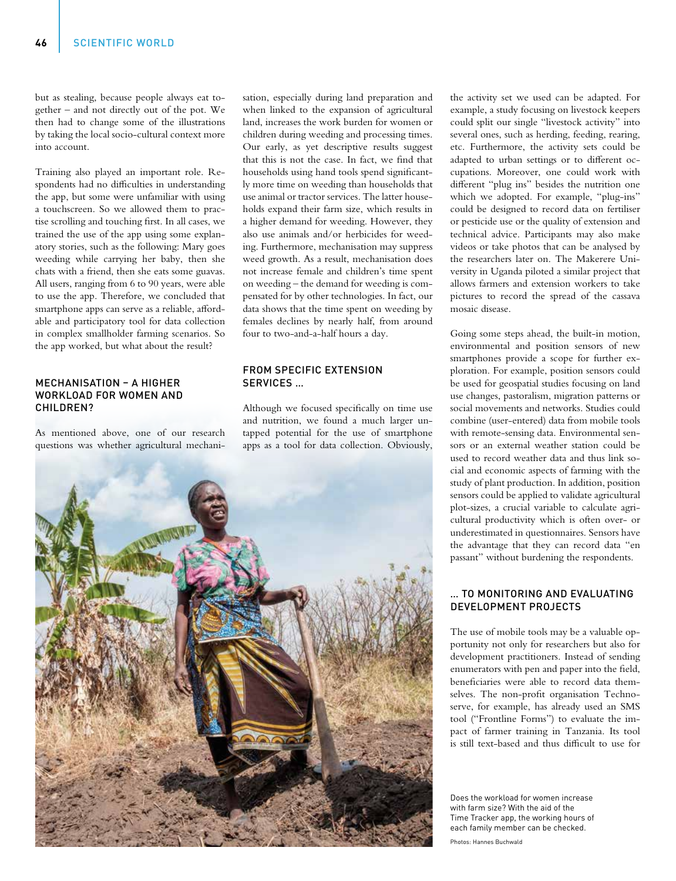but as stealing, because people always eat together – and not directly out of the pot. We then had to change some of the illustrations by taking the local socio-cultural context more into account.

Training also played an important role. Respondents had no difficulties in understanding the app, but some were unfamiliar with using a touchscreen. So we allowed them to practise scrolling and touching first. In all cases, we trained the use of the app using some explanatory stories, such as the following: Mary goes weeding while carrying her baby, then she chats with a friend, then she eats some guavas. All users, ranging from 6 to 90 years, were able to use the app. Therefore, we concluded that smartphone apps can serve as a reliable, affordable and participatory tool for data collection in complex smallholder farming scenarios. So the app worked, but what about the result?

## MECHANISATION – A HIGHER WORKLOAD FOR WOMEN AND CHILDREN?

As mentioned above, one of our research questions was whether agricultural mechanisation, especially during land preparation and when linked to the expansion of agricultural land, increases the work burden for women or children during weeding and processing times. Our early, as yet descriptive results suggest that this is not the case. In fact, we find that households using hand tools spend significantly more time on weeding than households that use animal or tractor services. The latter households expand their farm size, which results in a higher demand for weeding. However, they also use animals and/or herbicides for weeding. Furthermore, mechanisation may suppress weed growth. As a result, mechanisation does not increase female and children's time spent on weeding – the demand for weeding is compensated for by other technologies. In fact, our data shows that the time spent on weeding by females declines by nearly half, from around four to two-and-a-half hours a day.

# FROM SPECIFIC EXTENSION SERVICES …

Although we focused specifically on time use and nutrition, we found a much larger untapped potential for the use of smartphone apps as a tool for data collection. Obviously,



the activity set we used can be adapted. For example, a study focusing on livestock keepers could split our single "livestock activity" into several ones, such as herding, feeding, rearing, etc. Furthermore, the activity sets could be adapted to urban settings or to different occupations. Moreover, one could work with different "plug ins" besides the nutrition one which we adopted. For example, "plug-ins" could be designed to record data on fertiliser or pesticide use or the quality of extension and technical advice. Participants may also make videos or take photos that can be analysed by the researchers later on. The Makerere University in Uganda piloted a similar project that allows farmers and extension workers to take pictures to record the spread of the cassava mosaic disease.

Going some steps ahead, the built-in motion, environmental and position sensors of new smartphones provide a scope for further exploration. For example, position sensors could be used for geospatial studies focusing on land use changes, pastoralism, migration patterns or social movements and networks. Studies could combine (user-entered) data from mobile tools with remote-sensing data. Environmental sensors or an external weather station could be used to record weather data and thus link social and economic aspects of farming with the study of plant production. In addition, position sensors could be applied to validate agricultural plot-sizes, a crucial variable to calculate agricultural productivity which is often over- or underestimated in questionnaires. Sensors have the advantage that they can record data "en passant" without burdening the respondents.

## … TO MONITORING AND EVALUATING DEVELOPMENT PROJECTS

The use of mobile tools may be a valuable opportunity not only for researchers but also for development practitioners. Instead of sending enumerators with pen and paper into the field, beneficiaries were able to record data themselves. The non-profit organisation Technoserve, for example, has already used an SMS tool ("Frontline Forms") to evaluate the impact of farmer training in Tanzania. Its tool is still text-based and thus difficult to use for

Does the workload for women increase with farm size? With the aid of the Time Tracker app, the working hours of each family member can be checked.

Photos: Hannes Buchwald